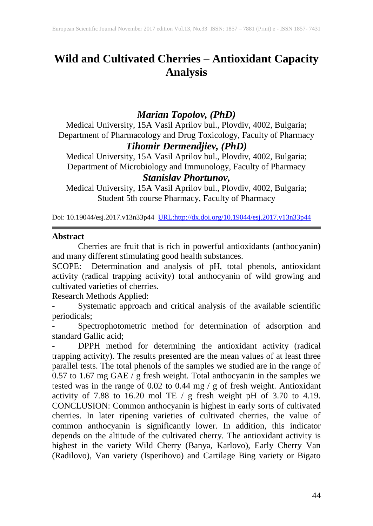# **Wild and Cultivated Cherries – Antioxidant Capacity Analysis**

## *Marian Topolov, (PhD)*

Medical University, 15A Vasil Aprilov bul., Plovdiv, 4002, Bulgaria; Department of Pharmacology and Drug Toxicology, Faculty of Pharmacy *Tihomir Dermendjiev, (PhD)*

Medical University, 15A Vasil Aprilov bul., Plovdiv, 4002, Bulgaria; Department of Microbiology and Immunology, Faculty of Pharmacy

### *Stanislav Phortunov,*

Medical University, 15A Vasil Aprilov bul., Plovdiv, 4002, Bulgaria; Student 5th course Pharmacy, Faculty of Pharmacy

Doi: 10.19044/esj.2017.v13n33p44 [URL:http://dx.doi.org/10.19044/esj.2017.v13n33p44](http://dx.doi.org/10.19044/esj.2017.v13n33p44)

#### **Abstract**

Cherries are fruit that is rich in powerful antioxidants (anthocyanin) and many different stimulating good health substances.

SCOPE: Determination and analysis of pH, total phenols, antioxidant activity (radical trapping activity) total anthocyanin of wild growing and cultivated varieties of cherries.

Research Methods Applied:

Systematic approach and critical analysis of the available scientific periodicals;

Spectrophotometric method for determination of adsorption and standard Gallic acid;

DPPH method for determining the antioxidant activity (radical trapping activity). The results presented are the mean values of at least three parallel tests. The total phenols of the samples we studied are in the range of 0.57 to 1.67 mg GAE / g fresh weight. Total anthocyanin in the samples we tested was in the range of 0.02 to 0.44 mg / g of fresh weight. Antioxidant activity of 7.88 to 16.20 mol TE  $/$  g fresh weight pH of 3.70 to 4.19. CONCLUSION: Common anthocyanin is highest in early sorts of cultivated cherries. In later ripening varieties of cultivated cherries, the value of common anthocyanin is significantly lower. In addition, this indicator depends on the altitude of the cultivated cherry. The antioxidant activity is highest in the variety Wild Cherry (Banya, Karlovo), Early Cherry Van (Radilovo), Van variety (Isperihovo) and Cartilage Bing variety or Bigato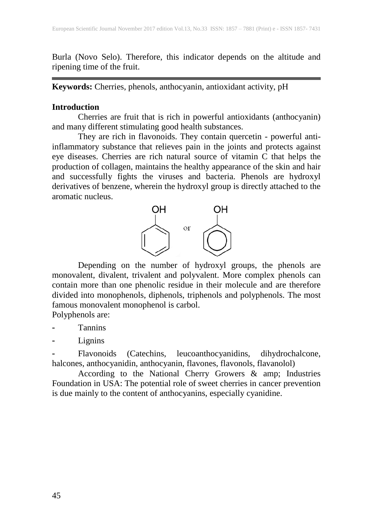Burla (Novo Selo). Therefore, this indicator depends on the altitude and ripening time of the fruit.

**Keywords:** Cherries, phenols, anthocyanin, antioxidant activity, pH

#### **Introduction**

Cherries are fruit that is rich in powerful antioxidants (anthocyanin) and many different stimulating good health substances.

They are rich in flavonoids. They contain quercetin - powerful antiinflammatory substance that relieves pain in the joints and protects against eye diseases. Cherries are rich natural source of vitamin C that helps the production of collagen, maintains the healthy appearance of the skin and hair and successfully fights the viruses and bacteria. Phenols are hydroxyl derivatives of benzene, wherein the hydroxyl group is directly attached to the aromatic nucleus.



Depending on the number of hydroxyl groups, the phenols are monovalent, divalent, trivalent and polyvalent. More complex phenols can contain more than one phenolic residue in their molecule and are therefore divided into monophenols, diphenols, triphenols and polyphenols. The most famous monovalent monophenol is carbol.

Polyphenols are:

**Tannins** 

Lignins

Flavonoids (Catechins, leucoanthocyanidins, dihydrochalcone, halcones, anthocyanidin, anthocyanin, flavones, flavonols, flavanolol)

According to the National Cherry Growers & amp; Industries Foundation in USA: The potential role of sweet cherries in cancer prevention is due mainly to the content of anthocyanins, especially cyanidine.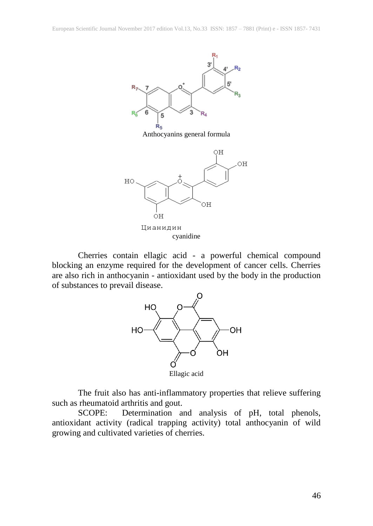

Cherries contain ellagic acid - a powerful chemical compound blocking an enzyme required for the development of cancer cells. Cherries are also rich in anthocyanin - antioxidant used by the body in the production of substances to prevail disease.



The fruit also has anti-inflammatory properties that relieve suffering such as rheumatoid arthritis and gout.

SCOPE: Determination and analysis of pH, total phenols, antioxidant activity (radical trapping activity) total anthocyanin of wild growing and cultivated varieties of cherries.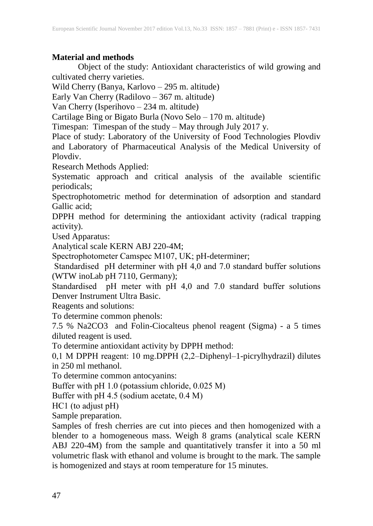## **Material and methods**

Object of the study: Antioxidant characteristics of wild growing and cultivated cherry varieties.

Wild Cherry (Banya, Karlovo – 295 m. altitude)

Early Van Cherry (Radilovo – 367 m. altitude)

Van Cherry (Isperihovo – 234 m. altitude)

Cartilage Bing or Bigato Burla (Novo Selo – 170 m. altitude)

Timespan: Timespan of the study – May through July 2017 y.

Place of study: Laboratory of the University of Food Technologies Plovdiv and Laboratory of Pharmaceutical Analysis of the Medical University of Plovdiv.

Research Methods Applied:

Systematic approach and critical analysis of the available scientific periodicals;

Spectrophotometric method for determination of adsorption and standard Gallic acid;

DPPH method for determining the antioxidant activity (radical trapping activity).

Used Apparatus:

Analytical scale KERN ABJ 220-4M;

Spectrophotometer Camspec М107, UK; pH-determiner;

Standardised pH determiner with pH 4,0 and 7.0 standard buffer solutions (WTW inoLab pH 7110, Germany);

Standardised pH meter with pH 4,0 and 7.0 standard buffer solutions Denver Instrument Ultra Basic.

Reagents and solutions:

To determine common phenols:

7.5 % Na2CO3 and Folin-Ciocalteus phenol reagent (Sigma) - a 5 times diluted reagent is used.

To determine antioxidant activity by DPPH method:

0,1 М DPPH reagent: 10 mg.DPPH (2,2–Diphenyl–1-picrylhydrazil) dilutes in 250 ml methanol.

To determine common antocyanins:

Buffer with pH 1.0 (potassium chloride, 0.025 M)

Buffer with рН 4.5 (sodium acetate, 0.4 М)

НС1 (to adjust рН)

Sample preparation.

Samples of fresh cherries are cut into pieces and then homogenized with a blender to a homogeneous mass. Weigh 8 grams (analytical scale KERN ABJ 220-4M) from the sample and quantitatively transfer it into a 50 ml volumetric flask with ethanol and volume is brought to the mark. The sample is homogenized and stays at room temperature for 15 minutes.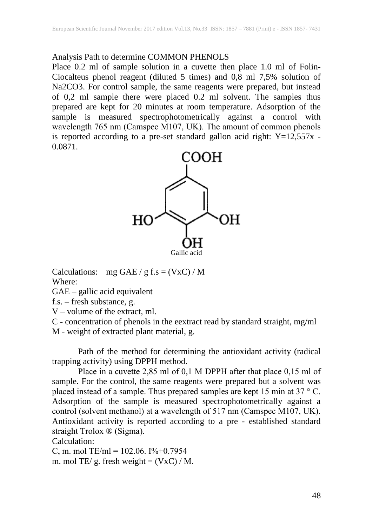#### Analysis Path to determine COMMON PHENOLS

Place 0.2 ml of sample solution in a cuvette then place 1.0 ml of Folin-Ciocalteus phenol reagent (diluted 5 times) and 0,8 ml 7,5% solution of Na2CO3. For control sample, the same reagents were prepared, but instead of 0,2 ml sample there were placed 0.2 ml solvent. The samples thus prepared are kept for 20 minutes at room temperature. Adsorption of the sample is measured spectrophotometrically against a control with wavelength 765 nm (Camspec М107, UK). The amount of common phenols is reported according to a pre-set standard gallon acid right: Y=12,557x - 0.0871.



Calculations: mg GAE / g f.s =  $(VxC)$  / M Where:

GAE – gallic acid equivalent

f.s. – fresh substance, g.

V – volume of the extract, ml.

C - concentration of phenols in the eextract read by standard straight, mg/ml M - weight of extracted plant material, g.

Path of the method for determining the antioxidant activity (radical trapping activity) using DPPH method.

Place in a cuvette 2,85 ml of 0,1 M DPPH after that place 0,15 ml of sample. For the control, the same reagents were prepared but a solvent was placed instead of a sample. Thus prepared samples are kept 15 min at 37 ° C. Adsorption of the sample is measured spectrophotometrically against a control (solvent methanol) at a wavelength of 517 nm (Camspec М107, UK). Antioxidant activity is reported according to a pre - established standard straight Trolox ® (Sigma).

Calculation:

C, m. mol TE/ml = 102.06. I%+0.7954

m. mol TE/ g. fresh weight =  $(VxC) / M$ .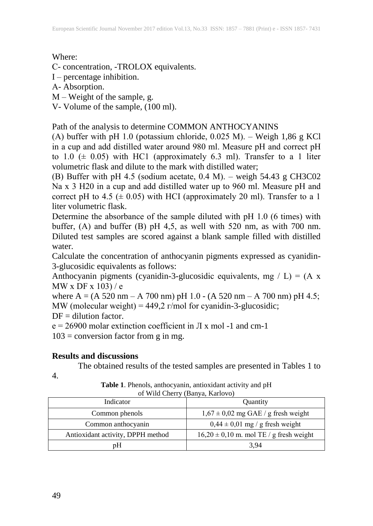Where:

С- concentration, -TROLOX equivalents.

I – percentage inhibition.

А- Absorption.

М – Weight of the sample, g.

V- Volume of the sample, (100 ml).

Path of the analysis to determine COMMON ANTHOCYANINS

(А) buffer with рН 1.0 (potassium chloride, 0.025 М). – Weigh 1,86 g KCl in a cup and add distilled water around 980 ml. Measure рН and correct рН to 1.0  $(± 0.05)$  with HC1 (approximately 6.3 ml). Transfer to a 1 liter volumetric flask and dilute to the mark with distilled water;

(B) Buffer with pH 4.5 (sodium acetate,  $0.4$  M). – weigh 54.43 g CH3C02 Nа х 3 H20 in a cup and add distilled water up to 960 ml. Measure рН and correct pH to 4.5 ( $\pm$  0.05) with HCI (approximately 20 ml). Transfer to a 1 liter volumetric flask.

Determine the absorbance of the sample diluted with рН 1.0 (6 times) with buffer,  $(A)$  and buffer  $(B)$  pH 4,5, as well with 520 nm, as with 700 nm. Diluted test samples are scored against a blank sample filled with distilled water.

Calculate the concentration of anthocyanin pigments expressed as cyanidin-3-glucosidic equivalents as follows:

Anthocyanin pigments (cyanidin-3-glucosidic equivalents, mg / L) =  $(A \times B)$ MW x DF x  $103$ ) / e

where A = (A 520 nm – A 700 nm) pH 1.0 - (A 520 nm – A 700 nm) pH 4.5; MW (molecular weight) =  $449.2$  r/mol for cyanidin-3-glucosidic;

 $DF =$  dilution factor.

 $e = 26900$  molar extinction coefficient in  $\pi$  x mol -1 and cm-1

 $103 =$  conversion factor from g in mg.

## **Results and discussions**

The obtained results of the tested samples are presented in Tables 1 to

4.

**Table 1**. Phenols, anthocyanin, antioxidant activity and pH of Wild Cherry (Banya, Karlovo)

| Indicator                         | Quantity                                    |
|-----------------------------------|---------------------------------------------|
| Common phenols                    | $1,67 \pm 0,02$ mg GAE / g fresh weight     |
| Common anthocyanin                | $0.44 \pm 0.01$ mg / g fresh weight         |
| Antioxidant activity, DPPH method | $16,20 \pm 0,10$ m. mol TE / g fresh weight |
| pH                                | 3.94                                        |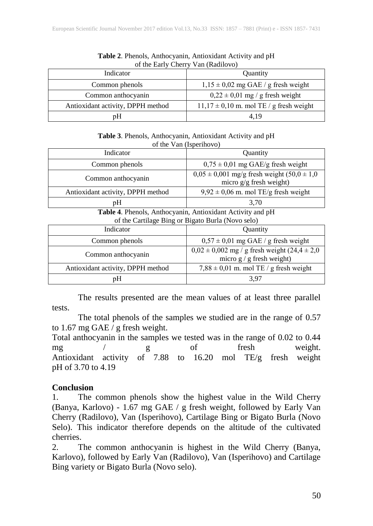| Of the Early Cherry Van (Raditovo) |                                             |
|------------------------------------|---------------------------------------------|
| Indicator                          | <b>Ouantity</b>                             |
| Common phenols                     | $1,15 \pm 0,02$ mg GAE / g fresh weight     |
| Common anthocyanin                 | $0,22 \pm 0,01$ mg / g fresh weight         |
| Antioxidant activity, DPPH method  | $11,17 \pm 0,10$ m. mol TE / g fresh weight |
| pH                                 | 4.19                                        |

**Table 2**. Phenols, Anthocyanin, Antioxidant Activity and pH of the Early Cherry Van (Radilovo)

**Table 3**. Phenols, Anthocyanin, Antioxidant Activity and pH of the Van (Isperihovo)

| Indicator                                                  | Quantity                                                                         |  |
|------------------------------------------------------------|----------------------------------------------------------------------------------|--|
| Common phenols                                             | $0.75 \pm 0.01$ mg GAE/g fresh weight                                            |  |
| Common anthocyanin                                         | $0.05 \pm 0.001$ mg/g fresh weight $(50.0 \pm 1.0)$<br>micro $g/g$ fresh weight) |  |
| Antioxidant activity, DPPH method                          | $9,92 \pm 0,06$ m. mol TE/g fresh weight                                         |  |
| pH                                                         | 3,70                                                                             |  |
| Table 4. Phenols, Anthocyanin, Antioxidant Activity and pH |                                                                                  |  |
| of the Cartilage Bing or Bigato Burla (Novo selo)          |                                                                                  |  |

| of the cardinage $\mathcal{L}_{\text{max}}$ of $\mathcal{L}_{\text{max}}$ is and $(1,0,0,0)$ |                                                                                      |
|----------------------------------------------------------------------------------------------|--------------------------------------------------------------------------------------|
| Indicator                                                                                    | Quantity                                                                             |
| Common phenols                                                                               | $0.57 \pm 0.01$ mg GAE / g fresh weight                                              |
| Common anthocyanin                                                                           | $0.02 \pm 0.002$ mg / g fresh weight $(24.4 \pm 2.0)$<br>micro $g / g$ fresh weight) |
| Antioxidant activity, DPPH method                                                            | $7,88 \pm 0,01$ m. mol TE / g fresh weight                                           |
| рH                                                                                           | 3.97                                                                                 |

The results presented are the mean values of at least three parallel tests.

The total phenols of the samples we studied are in the range of 0.57 to 1.67 mg GAE  $\overline{I}$  g fresh weight.

Total anthocyanin in the samples we tested was in the range of 0.02 to 0.44 mg / g of fresh weight. Antioxidant activity of 7.88 to 16.20 mol TE/g fresh weight pH of 3.70 to 4.19

## **Conclusion**

1. The common phenols show the highest value in the Wild Cherry (Banya, Karlovo) - 1.67 mg GAE / g fresh weight, followed by Early Van Cherry (Radilovo), Van (Isperihovo), Cartilage Bing or Bigato Burla (Novo Selo). This indicator therefore depends on the altitude of the cultivated cherries.

2. The common anthocyanin is highest in the Wild Cherry (Banya, Karlovo), followed by Early Van (Radilovo), Van (Isperihovo) and Cartilage Bing variety or Bigato Burla (Novo selo).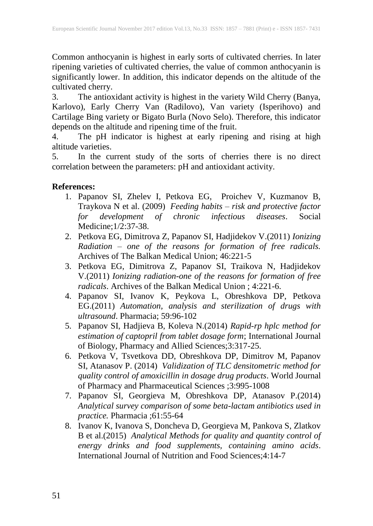Common anthocyanin is highest in early sorts of cultivated cherries. In later ripening varieties of cultivated cherries, the value of common anthocyanin is significantly lower. In addition, this indicator depends on the altitude of the cultivated cherry.

3. The antioxidant activity is highest in the variety Wild Cherry (Banya, Karlovo), Early Cherry Van (Radilovo), Van variety (Isperihovo) and Cartilage Bing variety or Bigato Burla (Novo Selo). Therefore, this indicator depends on the altitude and ripening time of the fruit.

4. The pH indicator is highest at early ripening and rising at high altitude varieties.

5. In the current study of the sorts of cherries there is no direct correlation between the parameters: pH and antioxidant activity.

#### **References:**

- 1. Papanov SI, Zhelev I, Petkova EG, Proichev V, Kuzmanov B, Traykova N et al. (2009) *Feeding habits – risk and protective factor for development of chronic infectious diseases*. Social Medicine;1/2:37-38.
- 2. Petkova EG, Dimitrova Z, Papanov SI, Hadjidekov V.(2011) *Ionizing Radiation – one of the reasons for formation of free radicals.* Archives of The Balkan Medical Union; 46:221-5
- 3. Petkova EG, Dimitrova Z, Papanov SI, Traikova N, Hadjidekov V.(2011) *Ionizing radiation-one of the reasons for formation of free radicals*. Archives of the Balkan Medical Union ; 4:221-6.
- 4. Papanov SI, Ivanov K, Peykova L, Obreshkova DP, Petkova EG.(2011) *Automation, analysis and sterilization of drugs with ultrasound*. Pharmacia; 59:96-102
- 5. Papanov SI, Hadjieva B, Koleva N.(2014) *Rapid-rp hplc method for estimation of captopril from tablet dosage form*; International Journal of Biology, Pharmacy and Allied Sciences;3:317-25.
- 6. Petkova V, Tsvetkova DD, Obreshkova DP, Dimitrov M, Papanov SI, Atanasov P. (2014) *Validization of TLC densitometric method for quality control of amoxicillin in dosage drug products*. World Journal of Pharmacy and Pharmaceutical Sciences ;3:995-1008
- 7. Papanov SI, Georgieva M, Obreshkova DP, Atanasov P.(2014) *Analytical survey comparison of some beta-lactam antibiotics used in practice.* Pharmacia ;61:55-64
- 8. Ivanov K, Ivanova S, Doncheva D, Georgieva M, Pankova S, Zlatkov B et al.(2015) *Analytical Methods for quality and quantity control of energy drinks and food supplements, containing amino acids*. International Journal of Nutrition and Food Sciences;4:14-7